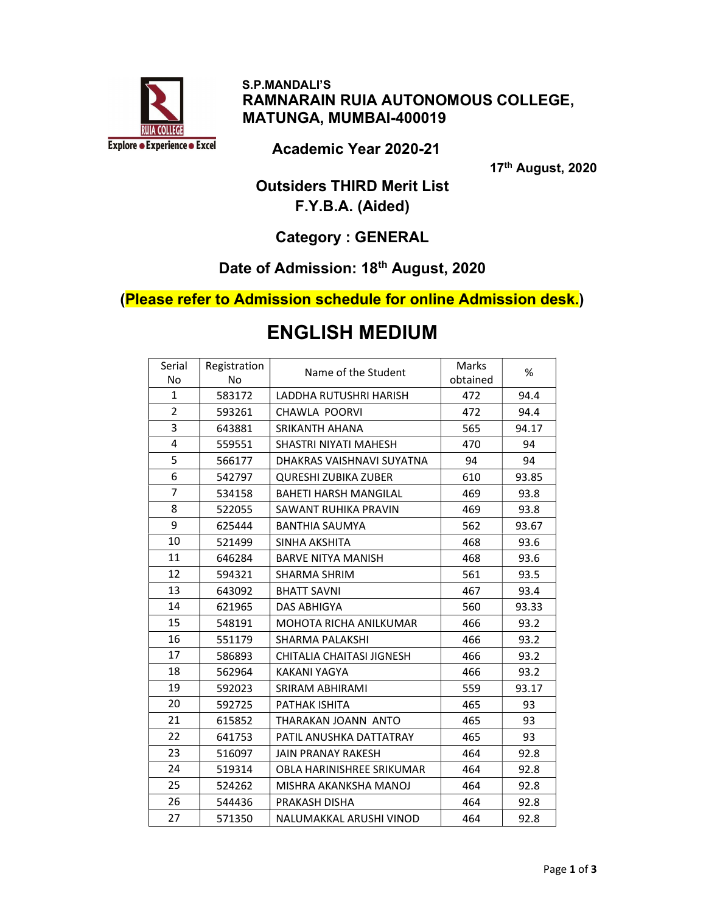

 S.P.MANDALI'S RAMNARAIN RUIA AUTONOMOUS COLLEGE, MATUNGA, MUMBAI-400019

Academic Year 2020-21

17th August, 2020

## Outsiders THIRD Merit List F.Y.B.A. (Aided)

## Category : GENERAL

## Date of Admission: 18<sup>th</sup> August, 2020

#### (Please refer to Admission schedule for online Admission desk.)

| Serial         | Registration | Name of the Student          | Marks    | %     |
|----------------|--------------|------------------------------|----------|-------|
| <b>No</b>      | <b>No</b>    |                              | obtained |       |
| 1              | 583172       | LADDHA RUTUSHRI HARISH       | 472      | 94.4  |
| $\overline{2}$ | 593261       | CHAWLA POORVI                | 472      | 94.4  |
| 3              | 643881       | <b>SRIKANTH AHANA</b>        | 565      | 94.17 |
| 4              | 559551       | SHASTRI NIYATI MAHESH        | 470      | 94    |
| 5              | 566177       | DHAKRAS VAISHNAVI SUYATNA    | 94       | 94    |
| 6              | 542797       | <b>QURESHI ZUBIKA ZUBER</b>  | 610      | 93.85 |
| $\overline{7}$ | 534158       | <b>BAHETI HARSH MANGILAL</b> | 469      | 93.8  |
| 8              | 522055       | SAWANT RUHIKA PRAVIN         | 469      | 93.8  |
| 9              | 625444       | <b>BANTHIA SAUMYA</b>        | 562      | 93.67 |
| 10             | 521499       | SINHA AKSHITA                | 468      | 93.6  |
| 11             | 646284       | <b>BARVE NITYA MANISH</b>    | 468      | 93.6  |
| 12             | 594321       | <b>SHARMA SHRIM</b>          | 561      | 93.5  |
| 13             | 643092       | <b>BHATT SAVNI</b>           | 467      | 93.4  |
| 14             | 621965       | <b>DAS ABHIGYA</b>           | 560      | 93.33 |
| 15             | 548191       | MOHOTA RICHA ANILKUMAR       | 466      | 93.2  |
| 16             | 551179       | SHARMA PALAKSHI              | 466      | 93.2  |
| 17             | 586893       | CHITALIA CHAITASI JIGNESH    | 466      | 93.2  |
| 18             | 562964       | KAKANI YAGYA                 | 466      | 93.2  |
| 19             | 592023       | SRIRAM ABHIRAMI              | 559      | 93.17 |
| 20             | 592725       | PATHAK ISHITA                | 465      | 93    |
| 21             | 615852       | THARAKAN JOANN ANTO          | 465      | 93    |
| 22             | 641753       | PATIL ANUSHKA DATTATRAY      | 465      | 93    |
| 23             | 516097       | JAIN PRANAY RAKESH           | 464      | 92.8  |
| 24             | 519314       | OBLA HARINISHREE SRIKUMAR    | 464      | 92.8  |
| 25             | 524262       | MISHRA AKANKSHA MANOJ        | 464      | 92.8  |
| 26             | 544436       | PRAKASH DISHA                | 464      | 92.8  |
| 27             | 571350       | NALUMAKKAL ARUSHI VINOD      | 464      | 92.8  |
|                |              |                              |          |       |

# ENGLISH MEDIUM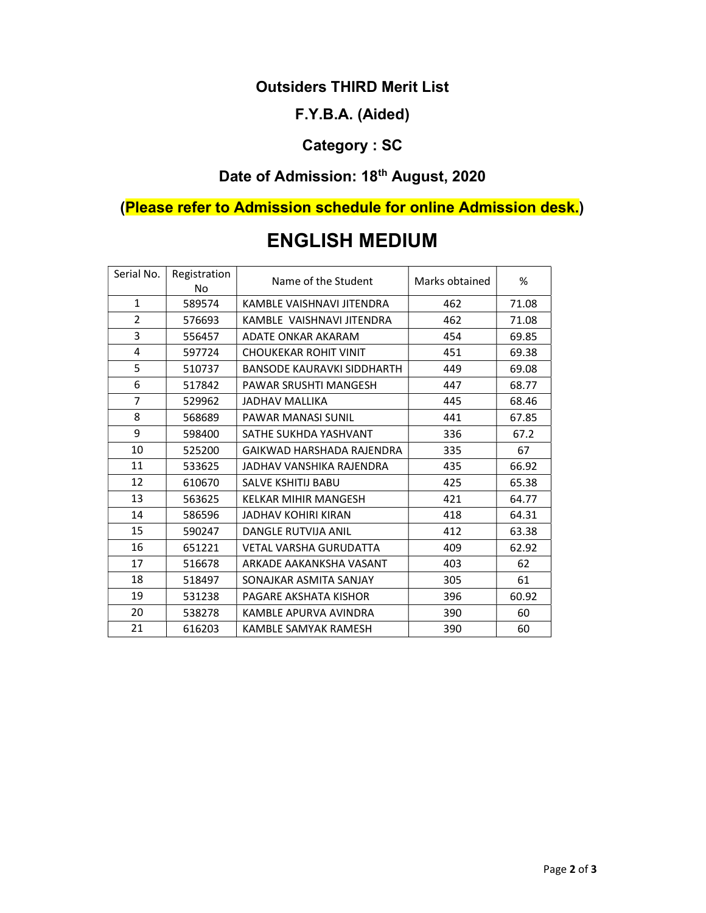#### Outsiders THIRD Merit List

#### F.Y.B.A. (Aided)

## Category : SC

## Date of Admission: 18<sup>th</sup> August, 2020

## (Please refer to Admission schedule for online Admission desk.)

| Serial No.     | Registration<br>No | Name of the Student               | Marks obtained | %     |
|----------------|--------------------|-----------------------------------|----------------|-------|
| $\mathbf{1}$   | 589574             | KAMBLE VAISHNAVI JITENDRA         | 462            | 71.08 |
| $\overline{2}$ | 576693             | KAMBLE VAISHNAVI JITENDRA         | 462            | 71.08 |
| 3              | 556457             | ADATE ONKAR AKARAM                | 454            | 69.85 |
| 4              | 597724             | <b>CHOUKEKAR ROHIT VINIT</b>      | 451            | 69.38 |
| 5              | 510737             | <b>BANSODE KAURAVKI SIDDHARTH</b> | 449            | 69.08 |
| 6              | 517842             | PAWAR SRUSHTI MANGESH             | 447            | 68.77 |
| 7              | 529962             | <b>JADHAV MALLIKA</b>             | 445            | 68.46 |
| 8              | 568689             | <b>PAWAR MANASI SUNIL</b>         | 441            | 67.85 |
| 9              | 598400             | SATHE SUKHDA YASHVANT             | 336            | 67.2  |
| 10             | 525200             | GAIKWAD HARSHADA RAJENDRA         | 335            | 67    |
| 11             | 533625             | JADHAV VANSHIKA RAJENDRA          | 435            | 66.92 |
| 12             | 610670             | <b>SALVE KSHITIJ BABU</b>         | 425            | 65.38 |
| 13             | 563625             | <b>KELKAR MIHIR MANGESH</b>       | 421            | 64.77 |
| 14             | 586596             | <b>JADHAV KOHIRI KIRAN</b>        | 418            | 64.31 |
| 15             | 590247             | <b>DANGLE RUTVIJA ANIL</b>        | 412            | 63.38 |
| 16             | 651221             | <b>VETAL VARSHA GURUDATTA</b>     | 409            | 62.92 |
| 17             | 516678             | ARKADE AAKANKSHA VASANT           | 403            | 62    |
| 18             | 518497             | SONAJKAR ASMITA SANJAY            | 305            | 61    |
| 19             | 531238             | PAGARE AKSHATA KISHOR             | 396            | 60.92 |
| 20             | 538278             | KAMBLE APURVA AVINDRA             | 390            | 60    |
| 21             | 616203             | KAMBLE SAMYAK RAMESH              | 390            | 60    |

# ENGLISH MEDIUM